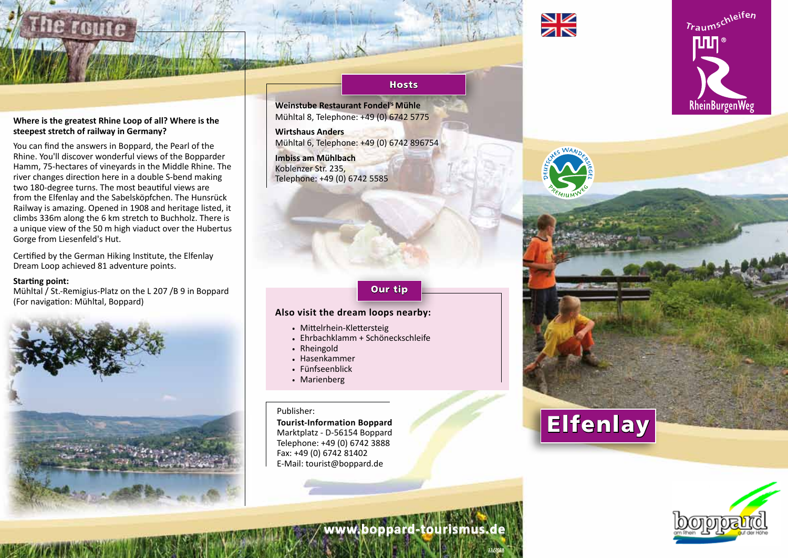

## **Where is the greatest Rhine Loop of all? Where is the steepest stretch of railway in Germany?**

You can find the answers in Boppard, the Pearl of the Rhine. You'll discover wonderful views of the Bopparder Hamm, 75-hectares of vineyards in the Middle Rhine. The river changes direction here in a double S-bend making two 180-degree turns. The most beautiful views are from the Elfenlay and the Sabelsköpfchen. The Hunsrück Railway is amazing. Opened in 1908 and heritage listed, it climbs 336m along the 6 km stretch to Buchholz. There is a unique view of the 50 m high viaduct over the Hubertus Gorge from Liesenfeld's Hut.

Certified by the German Hiking Institute, the Elfenlay Dream Loop achieved 81 adventure points.

#### **Starting point:**

Mühltal / St.-Remigius-Platz on the L 207 /B 9 in Boppard (For navigation: Mühltal, Boppard)



#### **Hosts**

**Weinstube Restaurant Fondel' <sup>s</sup> Mühle** Mühltal 8, Telephone: +49 (0) 6742 5775

**Wirtshaus Anders**  Mühltal 6, Telephone: +49 (0) 6742 896754 **Imbiss am Mühlbach**

Koblenzer Str. 235, Telephone: +49 (0) 6742 5585

# Our tip

### **Also visit the dream loops nearby:**

- . Mittelrhein-Klettersteig
- . Ehrbachklamm + Schöneckschleife
- . Rheingold
- . Hasenkammer
- . Fünfseenblick
- . Marienberg

#### Publisher:

**Tourist-Information Boppard** Marktplatz - D-56154 Boppard Telephone: +49 (0) 6742 3888 Fax: +49 (0) 6742 81402 E-Mail: tourist@boppard.de



# Elfenlay



Traumschleifen

**RheinBurgenWeg** 

**www.boppard-tourismus.de**

**11/2018**